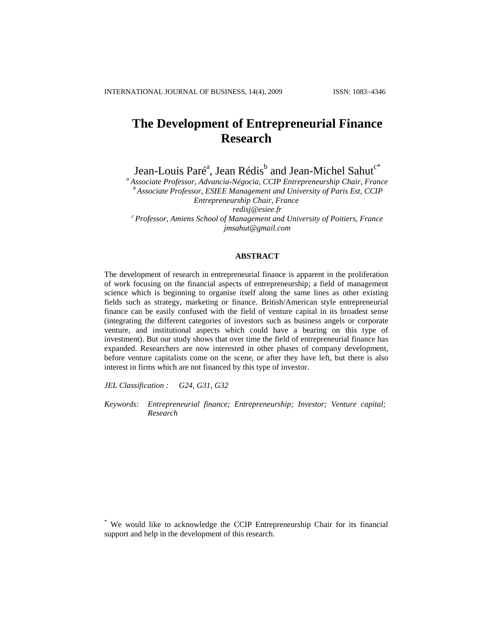# **The Development of Entrepreneurial Finance Research**

Jean-Louis Paré<sup>a</sup>, Jean Rédis<sup>b</sup> and Jean-Michel Sahut<sup>c\*</sup>

*<sup>a</sup> Associate Professor, Advancia-Négocia, CCIP Entrepreneurship Chair, France <sup>b</sup> Associate Professor, ESIEE Management and University of Paris Est, CCIP Entrepreneurship Chair, France [redisj@esiee.fr](mailto:redisj@esiee.fr) <sup>c</sup> Professor, Amiens School of Management and University of Poitiers, France jmsahut@gmail.com*

#### **ABSTRACT**

The development of research in entrepreneurial finance is apparent in the proliferation of work focusing on the financial aspects of entrepreneurship; a field of management science which is beginning to organise itself along the same lines as other existing fields such as strategy, marketing or finance. British/American style entrepreneurial finance can be easily confused with the field of venture capital in its broadest sense (integrating the different categories of investors such as business angels or corporate venture, and institutional aspects which could have a bearing on this type of investment). But our study shows that over time the field of entrepreneurial finance has expanded. Researchers are now interested in other phases of company development, before venture capitalists come on the scene, or after they have left, but there is also interest in firms which are not financed by this type of investor.

*JEL Classification : G24, G31, G32*

*Keywords: Entrepreneurial finance; Entrepreneurship; Investor; Venture capital; Research*

<sup>\*</sup> We would like to acknowledge the CCIP Entrepreneurship Chair for its financial support and help in the development of this research.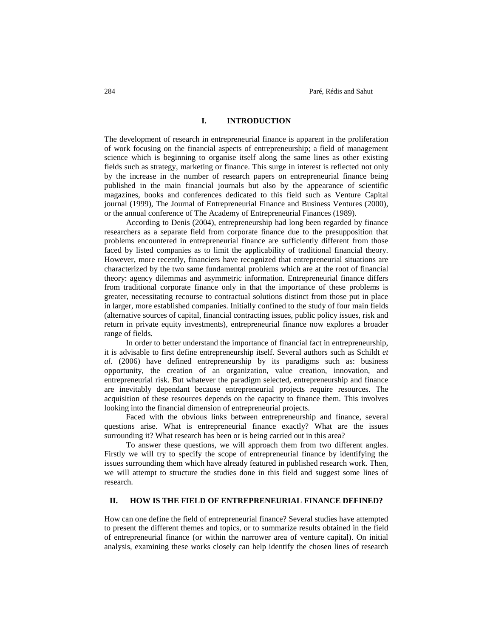## **I. INTRODUCTION**

The development of research in entrepreneurial finance is apparent in the proliferation of work focusing on the financial aspects of entrepreneurship; a field of management science which is beginning to organise itself along the same lines as other existing fields such as strategy, marketing or finance. This surge in interest is reflected not only by the increase in the number of research papers on entrepreneurial finance being published in the main financial journals but also by the appearance of scientific magazines, books and conferences dedicated to this field such as Venture Capital journal (1999), The Journal of Entrepreneurial Finance and Business Ventures (2000), or the annual conference of The Academy of Entrepreneurial Finances (1989).

According to Denis (2004), entrepreneurship had long been regarded by finance researchers as a separate field from corporate finance due to the presupposition that problems encountered in entrepreneurial finance are sufficiently different from those faced by listed companies as to limit the applicability of traditional financial theory. However, more recently, financiers have recognized that entrepreneurial situations are characterized by the two same fundamental problems which are at the root of financial theory: agency dilemmas and asymmetric information. Entrepreneurial finance differs from traditional corporate finance only in that the importance of these problems is greater, necessitating recourse to contractual solutions distinct from those put in place in larger, more established companies. Initially confined to the study of four main fields (alternative sources of capital, financial contracting issues, public policy issues, risk and return in private equity investments), entrepreneurial finance now explores a broader range of fields.

In order to better understand the importance of financial fact in entrepreneurship, it is advisable to first define entrepreneurship itself. Several authors such as Schildt *et al.* (2006) have defined entrepreneurship by its paradigms such as: business opportunity, the creation of an organization, value creation, innovation, and entrepreneurial risk. But whatever the paradigm selected, entrepreneurship and finance are inevitably dependant because entrepreneurial projects require resources. The acquisition of these resources depends on the capacity to finance them. This involves looking into the financial dimension of entrepreneurial projects.

Faced with the obvious links between entrepreneurship and finance, several questions arise. What is entrepreneurial finance exactly? What are the issues surrounding it? What research has been or is being carried out in this area?

To answer these questions, we will approach them from two different angles. Firstly we will try to specify the scope of entrepreneurial finance by identifying the issues surrounding them which have already featured in published research work. Then, we will attempt to structure the studies done in this field and suggest some lines of research.

## **II. HOW IS THE FIELD OF ENTREPRENEURIAL FINANCE DEFINED?**

How can one define the field of entrepreneurial finance? Several studies have attempted to present the different themes and topics, or to summarize results obtained in the field of entrepreneurial finance (or within the narrower area of venture capital). On initial analysis, examining these works closely can help identify the chosen lines of research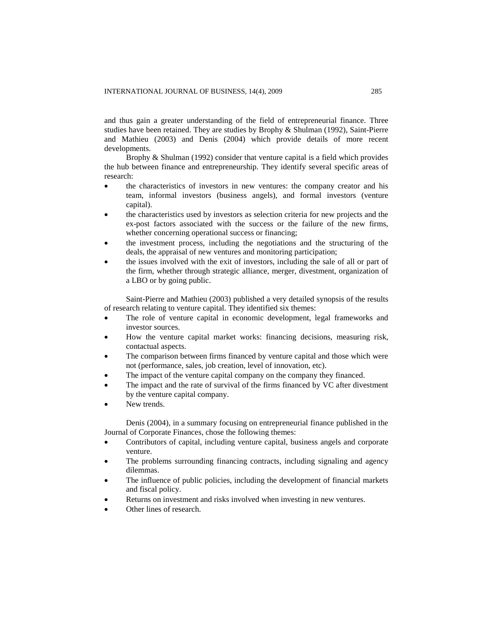and thus gain a greater understanding of the field of entrepreneurial finance. Three studies have been retained. They are studies by Brophy & Shulman (1992), Saint-Pierre and Mathieu (2003) and Denis (2004) which provide details of more recent developments.

Brophy & Shulman (1992) consider that venture capital is a field which provides the hub between finance and entrepreneurship. They identify several specific areas of research:

- the characteristics of investors in new ventures: the company creator and his team, informal investors (business angels), and formal investors (venture capital).
- the characteristics used by investors as selection criteria for new projects and the ex-post factors associated with the success or the failure of the new firms, whether concerning operational success or financing;
- the investment process, including the negotiations and the structuring of the deals, the appraisal of new ventures and monitoring participation;
- the issues involved with the exit of investors, including the sale of all or part of the firm, whether through strategic alliance, merger, divestment, organization of a LBO or by going public.

Saint-Pierre and Mathieu (2003) published a very detailed synopsis of the results of research relating to venture capital. They identified six themes:

- The role of venture capital in economic development, legal frameworks and investor sources.
- How the venture capital market works: financing decisions, measuring risk, contactual aspects.
- The comparison between firms financed by venture capital and those which were not (performance, sales, job creation, level of innovation, etc).
- The impact of the venture capital company on the company they financed.
- The impact and the rate of survival of the firms financed by VC after divestment by the venture capital company.
- New trends.

Denis (2004), in a summary focusing on entrepreneurial finance published in the Journal of Corporate Finances, chose the following themes:

- Contributors of capital, including venture capital, business angels and corporate venture.
- The problems surrounding financing contracts, including signaling and agency dilemmas.
- The influence of public policies, including the development of financial markets and fiscal policy.
- Returns on investment and risks involved when investing in new ventures.
- Other lines of research.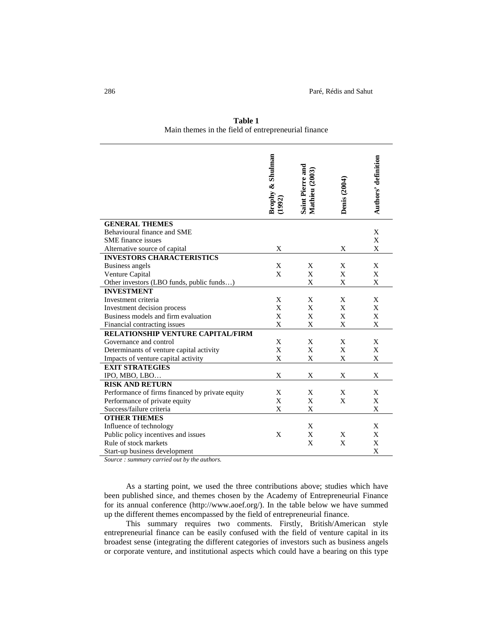|                                                 | Brophy & Shulman | Saint Pierre and<br>Mathieu (2003) | <b>Denis</b> (2004) | Authors' definition |
|-------------------------------------------------|------------------|------------------------------------|---------------------|---------------------|
| <b>GENERAL THEMES</b>                           |                  |                                    |                     |                     |
| Behavioural finance and SME                     |                  |                                    |                     | X                   |
| <b>SME</b> finance issues                       |                  |                                    |                     | X                   |
| Alternative source of capital                   | X                |                                    | X                   | X                   |
| <b>INVESTORS CHARACTERISTICS</b>                |                  |                                    |                     |                     |
| Business angels                                 | X                | X                                  | X                   | X                   |
| Venture Capital                                 | X                | X                                  | X                   | X                   |
| Other investors (LBO funds, public funds)       |                  | X                                  | X                   | X                   |
| <b>INVESTMENT</b>                               |                  |                                    |                     |                     |
| Investment criteria                             | X                | X                                  | X                   | X                   |
| Investment decision process                     | X                | X                                  | $\mathbf X$         | X                   |
| Business models and firm evaluation             | X                | X                                  | X                   | X                   |
| Financial contracting issues                    | X                | $\mathbf X$                        | X                   | X                   |
| <b>RELATIONSHIP VENTURE CAPITAL/FIRM</b>        |                  |                                    |                     |                     |
| Governance and control                          | X                | X                                  | X                   | X                   |
| Determinants of venture capital activity        | X                | X                                  | X                   | X                   |
| Impacts of venture capital activity             | X                | X                                  | X                   | X                   |
| <b>EXIT STRATEGIES</b>                          |                  |                                    |                     |                     |
| IPO, MBO, LBO                                   | X                | X                                  | X                   | X                   |
| <b>RISK AND RETURN</b>                          |                  |                                    |                     |                     |
| Performance of firms financed by private equity | X                | X                                  | X                   | X                   |
| Performance of private equity                   | X                | X                                  | X                   | X                   |
| Success/failure criteria                        | X                | X                                  |                     | X                   |
| <b>OTHER THEMES</b>                             |                  |                                    |                     |                     |
| Influence of technology                         |                  | X                                  |                     | X                   |
| Public policy incentives and issues             | X                | X                                  | X                   | X                   |
| Rule of stock markets                           |                  | X                                  | X                   | X                   |
| Start-up business development                   |                  |                                    |                     | X                   |

**Table 1** Main themes in the field of entrepreneurial finance

*Source : summary carried out by the authors.*

As a starting point, we used the three contributions above; studies which have been published since, and themes chosen by the Academy of Entrepreneurial Finance for its annual conference (http://www.aoef.org/). In the table below we have summed up the different themes encompassed by the field of entrepreneurial finance.

This summary requires two comments. Firstly, British/American style entrepreneurial finance can be easily confused with the field of venture capital in its broadest sense (integrating the different categories of investors such as business angels or corporate venture, and institutional aspects which could have a bearing on this type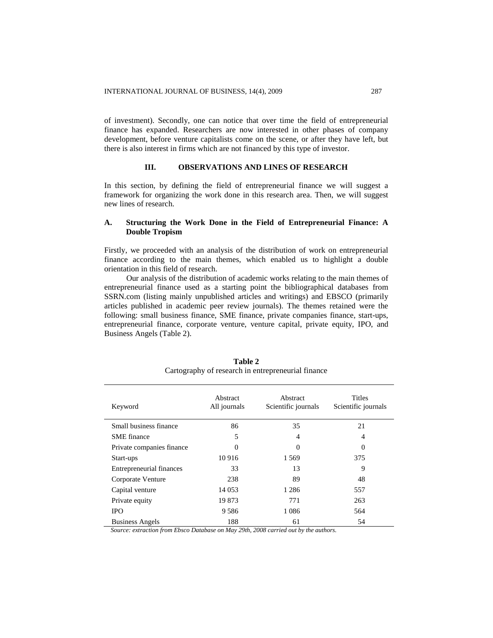of investment). Secondly, one can notice that over time the field of entrepreneurial finance has expanded. Researchers are now interested in other phases of company development, before venture capitalists come on the scene, or after they have left, but there is also interest in firms which are not financed by this type of investor.

## **III. OBSERVATIONS AND LINES OF RESEARCH**

In this section, by defining the field of entrepreneurial finance we will suggest a framework for organizing the work done in this research area. Then, we will suggest new lines of research.

## **A. Structuring the Work Done in the Field of Entrepreneurial Finance: A Double Tropism**

Firstly, we proceeded with an analysis of the distribution of work on entrepreneurial finance according to the main themes, which enabled us to highlight a double orientation in this field of research.

Our analysis of the distribution of academic works relating to the main themes of entrepreneurial finance used as a starting point the bibliographical databases from SSRN.com (listing mainly unpublished articles and writings) and EBSCO (primarily articles published in academic peer review journals). The themes retained were the following: small business finance, SME finance, private companies finance, start-ups, entrepreneurial finance, corporate venture, venture capital, private equity, IPO, and Business Angels (Table 2).

| Keyword                                                      | Abstract<br>All journals | Abstract<br>Scientific journals | <b>Titles</b><br>Scientific journals |
|--------------------------------------------------------------|--------------------------|---------------------------------|--------------------------------------|
| Small business finance                                       | 86                       | 35                              | 21                                   |
| <b>SME</b> finance                                           | 5                        | 4                               | $\overline{4}$                       |
| Private companies finance                                    | 0                        | $\theta$                        | $\theta$                             |
| Start-ups                                                    | 10916                    | 1 5 6 9                         | 375                                  |
| Entrepreneurial finances                                     | 33                       | 13                              | 9                                    |
| Corporate Venture                                            | 238                      | 89                              | 48                                   |
| Capital venture                                              | 14 0 53                  | 1 2 8 6                         | 557                                  |
| Private equity                                               | 19873                    | 771                             | 263                                  |
| <b>IPO</b>                                                   | 9586                     | 1 0 8 6                         | 564                                  |
| <b>Business Angels</b><br>$T^*$<br>$\mathbf{r}$ $\mathbf{r}$ | 188<br>20.1<br>$\cdots$  | 61<br>0.000<br>$\mathbf{r}$     | 54                                   |

**Table 2** Cartography of research in entrepreneurial finance

*Source: extraction from Ebsco Database on May 29th, 2008 carried out by the authors.*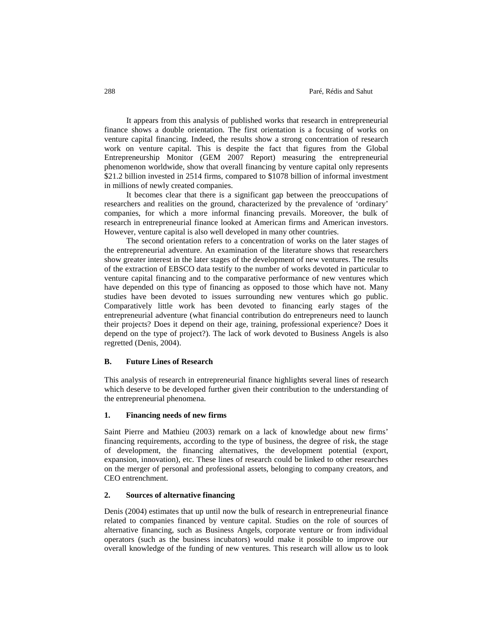#### 288 Paré, Rédis and Sahut

It appears from this analysis of published works that research in entrepreneurial finance shows a double orientation. The first orientation is a focusing of works on venture capital financing. Indeed, the results show a strong concentration of research work on venture capital. This is despite the fact that figures from the Global Entrepreneurship Monitor (GEM 2007 Report) measuring the entrepreneurial phenomenon worldwide, show that overall financing by venture capital only represents \$21.2 billion invested in 2514 firms, compared to \$1078 billion of informal investment in millions of newly created companies.

It becomes clear that there is a significant gap between the preoccupations of researchers and realities on the ground, characterized by the prevalence of 'ordinary' companies, for which a more informal financing prevails. Moreover, the bulk of research in entrepreneurial finance looked at American firms and American investors. However, venture capital is also well developed in many other countries.

The second orientation refers to a concentration of works on the later stages of the entrepreneurial adventure. An examination of the literature shows that researchers show greater interest in the later stages of the development of new ventures. The results of the extraction of EBSCO data testify to the number of works devoted in particular to venture capital financing and to the comparative performance of new ventures which have depended on this type of financing as opposed to those which have not. Many studies have been devoted to issues surrounding new ventures which go public. Comparatively little work has been devoted to financing early stages of the entrepreneurial adventure (what financial contribution do entrepreneurs need to launch their projects? Does it depend on their age, training, professional experience? Does it depend on the type of project?). The lack of work devoted to Business Angels is also regretted (Denis, 2004).

#### **B. Future Lines of Research**

This analysis of research in entrepreneurial finance highlights several lines of research which deserve to be developed further given their contribution to the understanding of the entrepreneurial phenomena.

## **1. Financing needs of new firms**

Saint Pierre and Mathieu (2003) remark on a lack of knowledge about new firms' financing requirements, according to the type of business, the degree of risk, the stage of development, the financing alternatives, the development potential (export, expansion, innovation), etc. These lines of research could be linked to other researches on the merger of personal and professional assets, belonging to company creators, and CEO entrenchment.

## **2. Sources of alternative financing**

Denis (2004) estimates that up until now the bulk of research in entrepreneurial finance related to companies financed by venture capital. Studies on the role of sources of alternative financing, such as Business Angels, corporate venture or from individual operators (such as the business incubators) would make it possible to improve our overall knowledge of the funding of new ventures. This research will allow us to look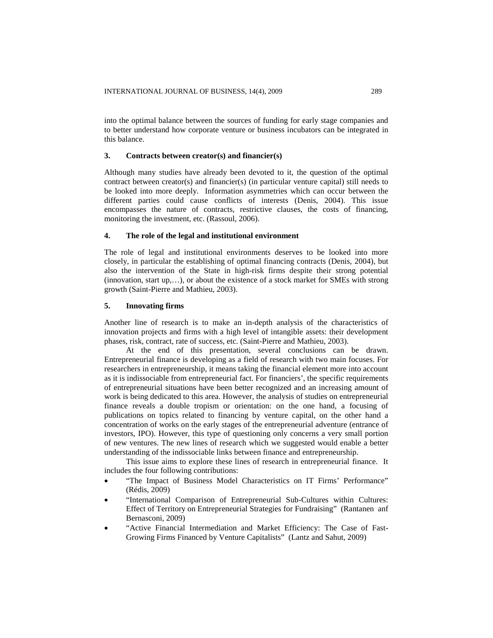into the optimal balance between the sources of funding for early stage companies and to better understand how corporate venture or business incubators can be integrated in this balance.

#### **3. Contracts between creator(s) and financier(s)**

Although many studies have already been devoted to it, the question of the optimal contract between creator(s) and financier(s) (in particular venture capital) still needs to be looked into more deeply. Information asymmetries which can occur between the different parties could cause conflicts of interests (Denis, 2004). This issue encompasses the nature of contracts, restrictive clauses, the costs of financing, monitoring the investment, etc. (Rassoul, 2006).

#### **4. The role of the legal and institutional environment**

The role of legal and institutional environments deserves to be looked into more closely, in particular the establishing of optimal financing contracts (Denis, 2004), but also the intervention of the State in high-risk firms despite their strong potential (innovation, start up,…), or about the existence of a stock market for SMEs with strong growth (Saint-Pierre and Mathieu, 2003).

### **5. Innovating firms**

Another line of research is to make an in-depth analysis of the characteristics of innovation projects and firms with a high level of intangible assets: their development phases, risk, contract, rate of success, etc. (Saint-Pierre and Mathieu, 2003).

At the end of this presentation, several conclusions can be drawn. Entrepreneurial finance is developing as a field of research with two main focuses. For researchers in entrepreneurship, it means taking the financial element more into account as it is indissociable from entrepreneurial fact. For financiers', the specific requirements of entrepreneurial situations have been better recognized and an increasing amount of work is being dedicated to this area. However, the analysis of studies on entrepreneurial finance reveals a double tropism or orientation: on the one hand, a focusing of publications on topics related to financing by venture capital, on the other hand a concentration of works on the early stages of the entrepreneurial adventure (entrance of investors, IPO). However, this type of questioning only concerns a very small portion of new ventures. The new lines of research which we suggested would enable a better understanding of the indissociable links between finance and entrepreneurship.

This issue aims to explore these lines of research in entrepreneurial finance. It includes the four following contributions:

- "The Impact of Business Model Characteristics on IT Firms' Performance" (Rédis, 2009)
- "International Comparison of Entrepreneurial Sub-Cultures within Cultures: Effect of Territory on Entrepreneurial Strategies for Fundraising" (Rantanen anf Bernasconi, 2009)
- "Active Financial Intermediation and Market Efficiency: The Case of Fast-Growing Firms Financed by Venture Capitalists" (Lantz and Sahut, 2009)